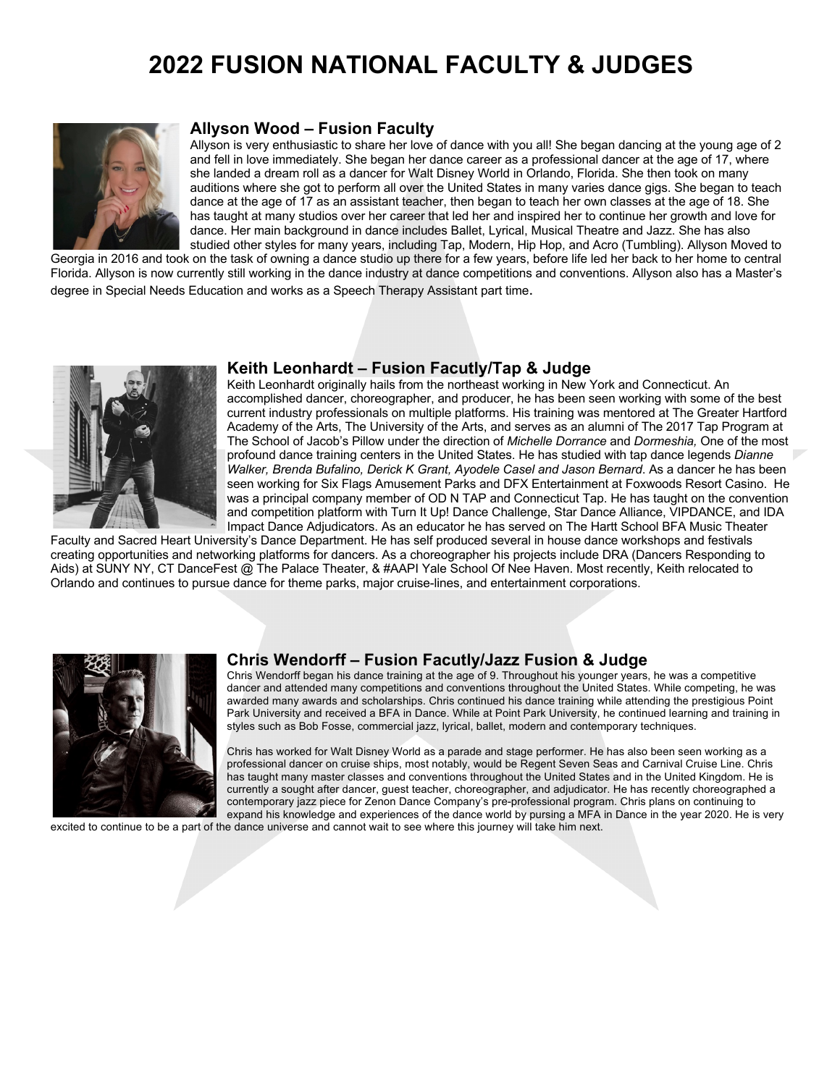## **2022 FUSION NATIONAL FACULTY & JUDGES**



### **Allyson Wood – Fusion Faculty**

Allyson is very enthusiastic to share her love of dance with you all! She began dancing at the young age of 2 and fell in love immediately. She began her dance career as a professional dancer at the age of 17, where she landed a dream roll as a dancer for Walt Disney World in Orlando, Florida. She then took on many auditions where she got to perform all over the United States in many varies dance gigs. She began to teach dance at the age of 17 as an assistant teacher, then began to teach her own classes at the age of 18. She has taught at many studios over her career that led her and inspired her to continue her growth and love for dance. Her main background in dance includes Ballet, Lyrical, Musical Theatre and Jazz. She has also studied other styles for many years, including Tap, Modern, Hip Hop, and Acro (Tumbling). Allyson Moved to

Georgia in 2016 and took on the task of owning a dance studio up there for a few years, before life led her back to her home to central Florida. Allyson is now currently still working in the dance industry at dance competitions and conventions. Allyson also has a Master's degree in Special Needs Education and works as a Speech Therapy Assistant part time.



### **Keith Leonhardt – Fusion Facutly/Tap & Judge**

Keith Leonhardt originally hails from the northeast working in New York and Connecticut. An accomplished dancer, choreographer, and producer, he has been seen working with some of the best current industry professionals on multiple platforms. His training was mentored at The Greater Hartford Academy of the Arts, The University of the Arts, and serves as an alumni of The 2017 Tap Program at The School of Jacob's Pillow under the direction of *Michelle Dorrance* and *Dormeshia,* One of the most profound dance training centers in the United States. He has studied with tap dance legends *Dianne Walker, Brenda Bufalino, Derick K Grant, Ayodele Casel and Jason Bernard*. As a dancer he has been seen working for Six Flags Amusement Parks and DFX Entertainment at Foxwoods Resort Casino. He was a principal company member of OD N TAP and Connecticut Tap. He has taught on the convention and competition platform with Turn It Up! Dance Challenge, Star Dance Alliance, VIPDANCE, and IDA Impact Dance Adjudicators. As an educator he has served on The Hartt School BFA Music Theater

Faculty and Sacred Heart University's Dance Department. He has self produced several in house dance workshops and festivals creating opportunities and networking platforms for dancers. As a choreographer his projects include DRA (Dancers Responding to Aids) at SUNY NY, CT DanceFest @ The Palace Theater, & #AAPI Yale School Of Nee Haven. Most recently, Keith relocated to Orlando and continues to pursue dance for theme parks, major cruise-lines, and entertainment corporations.



### **Chris Wendorff – Fusion Facutly/Jazz Fusion & Judge**

Chris Wendorff began his dance training at the age of 9. Throughout his younger years, he was a competitive dancer and attended many competitions and conventions throughout the United States. While competing, he was awarded many awards and scholarships. Chris continued his dance training while attending the prestigious Point Park University and received a BFA in Dance. While at Point Park University, he continued learning and training in styles such as Bob Fosse, commercial jazz, lyrical, ballet, modern and contemporary techniques.

Chris has worked for Walt Disney World as a parade and stage performer. He has also been seen working as a professional dancer on cruise ships, most notably, would be Regent Seven Seas and Carnival Cruise Line. Chris has taught many master classes and conventions throughout the United States and in the United Kingdom. He is currently a sought after dancer, guest teacher, choreographer, and adjudicator. He has recently choreographed a contemporary jazz piece for Zenon Dance Company's pre-professional program. Chris plans on continuing to expand his knowledge and experiences of the dance world by pursing a MFA in Dance in the year 2020. He is very

excited to continue to be a part of the dance universe and cannot wait to see where this journey will take him next.